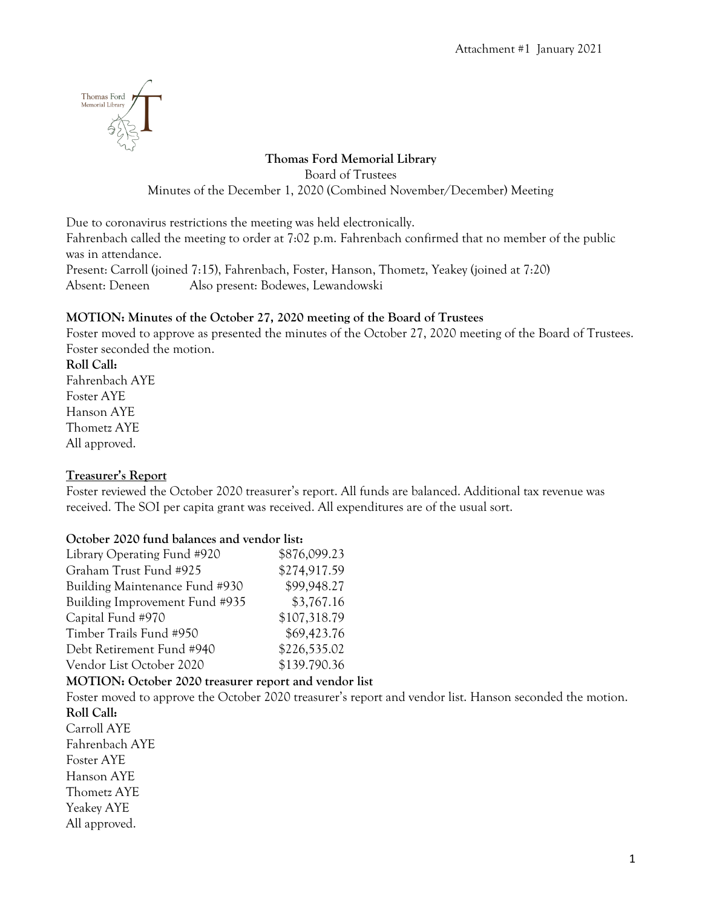

### **Thomas Ford Memorial Library**

Board of Trustees

Minutes of the December 1, 2020 (Combined November/December) Meeting

Due to coronavirus restrictions the meeting was held electronically.

Fahrenbach called the meeting to order at 7:02 p.m. Fahrenbach confirmed that no member of the public was in attendance.

Present: Carroll (joined 7:15), Fahrenbach, Foster, Hanson, Thometz, Yeakey (joined at 7:20) Absent: Deneen Also present: Bodewes, Lewandowski

### **MOTION: Minutes of the October 27, 2020 meeting of the Board of Trustees**

Foster moved to approve as presented the minutes of the October 27, 2020 meeting of the Board of Trustees. Foster seconded the motion.

**Roll Call:** Fahrenbach AYE Foster AYE Hanson AYE Thometz AYE All approved.

#### **Treasurer's Report**

Foster reviewed the October 2020 treasurer's report. All funds are balanced. Additional tax revenue was received. The SOI per capita grant was received. All expenditures are of the usual sort.

#### **October 2020 fund balances and vendor list:**

| Library Operating Fund #920                           | \$876,099.23 |                                                                                                          |
|-------------------------------------------------------|--------------|----------------------------------------------------------------------------------------------------------|
| Graham Trust Fund #925                                | \$274,917.59 |                                                                                                          |
| Building Maintenance Fund #930                        | \$99,948.27  |                                                                                                          |
| Building Improvement Fund #935                        | \$3,767.16   |                                                                                                          |
| Capital Fund #970                                     | \$107,318.79 |                                                                                                          |
| Timber Trails Fund #950                               | \$69,423.76  |                                                                                                          |
| Debt Retirement Fund #940                             | \$226,535.02 |                                                                                                          |
| Vendor List October 2020                              | \$139.790.36 |                                                                                                          |
| MOTION: October 2020 treasurer report and vendor list |              |                                                                                                          |
|                                                       |              | Foster moved to approve the October 2020 treasurer's report and vendor list. Hanson seconded the motion. |
| Roll Call:                                            |              |                                                                                                          |
| Carroll AYE                                           |              |                                                                                                          |
| Fahrenbach AYE                                        |              |                                                                                                          |
| <b>Foster AYE</b>                                     |              |                                                                                                          |
| Hanson AYE                                            |              |                                                                                                          |
| Thometz AYE                                           |              |                                                                                                          |
| <b>Yeakey AYE</b>                                     |              |                                                                                                          |
| All approved.                                         |              |                                                                                                          |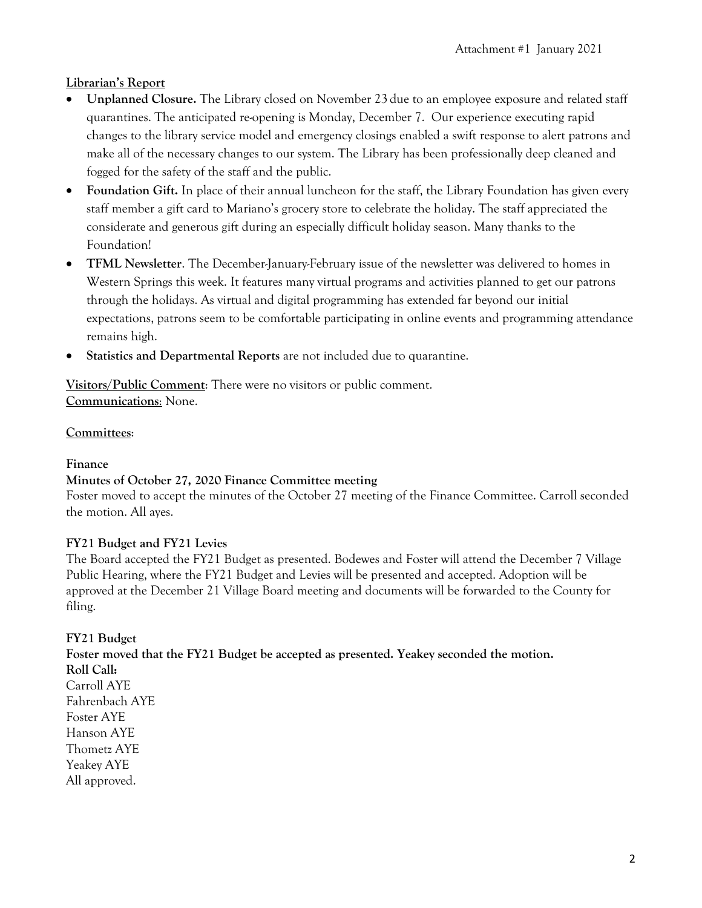### **Librarian's Report**

- **Unplanned Closure.** The Library closed on November 23 due to an employee exposure and related staff quarantines. The anticipated re-opening is Monday, December 7. Our experience executing rapid changes to the library service model and emergency closings enabled a swift response to alert patrons and make all of the necessary changes to our system. The Library has been professionally deep cleaned and fogged for the safety of the staff and the public.
- **Foundation Gift.** In place of their annual luncheon for the staff, the Library Foundation has given every staff member a gift card to Mariano's grocery store to celebrate the holiday. The staff appreciated the considerate and generous gift during an especially difficult holiday season. Many thanks to the Foundation!
- **TFML Newsletter**. The December-January-February issue of the newsletter was delivered to homes in Western Springs this week. It features many virtual programs and activities planned to get our patrons through the holidays. As virtual and digital programming has extended far beyond our initial expectations, patrons seem to be comfortable participating in online events and programming attendance remains high.
- **Statistics and Departmental Reports** are not included due to quarantine.

**Visitors/Public Comment**: There were no visitors or public comment. **Communications**: None.

#### **Committees**:

#### **Finance**

#### **Minutes of October 27, 2020 Finance Committee meeting**

Foster moved to accept the minutes of the October 27 meeting of the Finance Committee. Carroll seconded the motion. All ayes.

#### **FY21 Budget and FY21 Levies**

The Board accepted the FY21 Budget as presented. Bodewes and Foster will attend the December 7 Village Public Hearing, where the FY21 Budget and Levies will be presented and accepted. Adoption will be approved at the December 21 Village Board meeting and documents will be forwarded to the County for filing.

**FY21 Budget**

**Foster moved that the FY21 Budget be accepted as presented. Yeakey seconded the motion. Roll Call:** Carroll AYE Fahrenbach AYE Foster AYE Hanson AYE Thometz AYE Yeakey AYE All approved.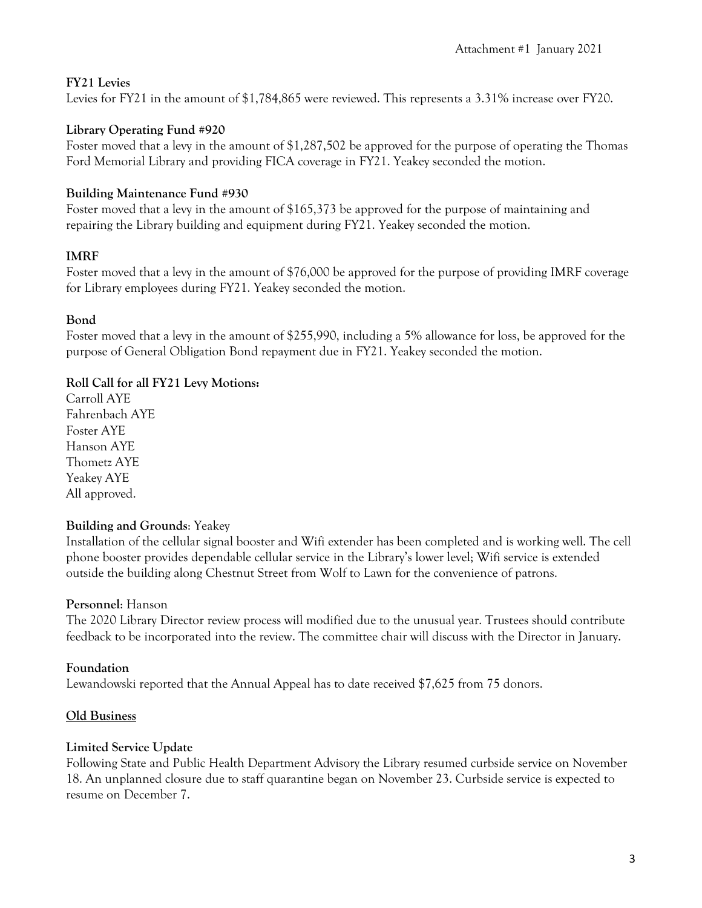### **FY21 Levies**

Levies for FY21 in the amount of \$1,784,865 were reviewed. This represents a 3.31% increase over FY20.

# **Library Operating Fund #920**

Foster moved that a levy in the amount of \$1,287,502 be approved for the purpose of operating the Thomas Ford Memorial Library and providing FICA coverage in FY21. Yeakey seconded the motion.

# **Building Maintenance Fund #930**

Foster moved that a levy in the amount of \$165,373 be approved for the purpose of maintaining and repairing the Library building and equipment during FY21. Yeakey seconded the motion.

# **IMRF**

Foster moved that a levy in the amount of \$76,000 be approved for the purpose of providing IMRF coverage for Library employees during FY21. Yeakey seconded the motion.

## **Bond**

Foster moved that a levy in the amount of \$255,990, including a 5% allowance for loss, be approved for the purpose of General Obligation Bond repayment due in FY21. Yeakey seconded the motion.

# **Roll Call for all FY21 Levy Motions:**

Carroll AYE Fahrenbach AYE Foster AYE Hanson AYE Thometz AYE Yeakey AYE All approved.

### **Building and Grounds**: Yeakey

Installation of the cellular signal booster and Wifi extender has been completed and is working well. The cell phone booster provides dependable cellular service in the Library's lower level; Wifi service is extended outside the building along Chestnut Street from Wolf to Lawn for the convenience of patrons.

# **Personnel**: Hanson

The 2020 Library Director review process will modified due to the unusual year. Trustees should contribute feedback to be incorporated into the review. The committee chair will discuss with the Director in January.

# **Foundation**

Lewandowski reported that the Annual Appeal has to date received \$7,625 from 75 donors.

### **Old Business**

# **Limited Service Update**

Following State and Public Health Department Advisory the Library resumed curbside service on November 18. An unplanned closure due to staff quarantine began on November 23. Curbside service is expected to resume on December 7.